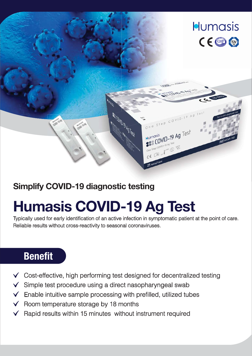

## **Simplify COVID-19 diagnostic testing**

# **Humasis COVID-19 Ag Test**

Typically used for early identification of an active infection in symptomatic patient at the point of care. Reliable results without cross-reactivity to seasonal coronaviruses.

## **Benefit**

- Cost-effective, high performing test designed for decentralized testing
- $\checkmark$  Simple test procedure using a direct nasopharyngeal swab
- $\checkmark$  Enable intuitive sample processing with prefilled, utilized tubes
- $\checkmark$  Room temperature storage by 18 months
- Rapid results within 15 minutes without instrument required  $\checkmark$